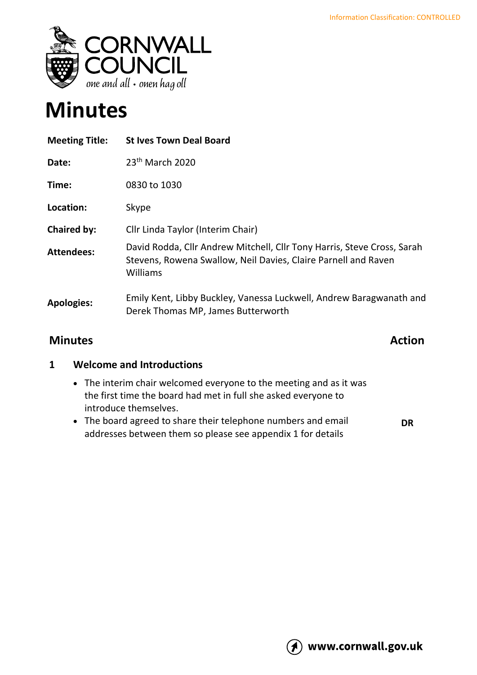

# **Minutes**

| <b>Meeting Title:</b> | <b>St Ives Town Deal Board</b>                                                                                                                               |
|-----------------------|--------------------------------------------------------------------------------------------------------------------------------------------------------------|
| Date:                 | 23 <sup>th</sup> March 2020                                                                                                                                  |
| Time:                 | 0830 to 1030                                                                                                                                                 |
| Location:             | Skype                                                                                                                                                        |
| <b>Chaired by:</b>    | Cllr Linda Taylor (Interim Chair)                                                                                                                            |
| <b>Attendees:</b>     | David Rodda, Cllr Andrew Mitchell, Cllr Tony Harris, Steve Cross, Sarah<br>Stevens, Rowena Swallow, Neil Davies, Claire Parnell and Raven<br><b>Williams</b> |
| <b>Apologies:</b>     | Emily Kent, Libby Buckley, Vanessa Luckwell, Andrew Baragwanath and<br>Derek Thomas MP, James Butterworth                                                    |

### **Minutes Action**

#### **1 Welcome and Introductions**

- The interim chair welcomed everyone to the meeting and as it was the first time the board had met in full she asked everyone to introduce themselves.
- The board agreed to share their telephone numbers and email addresses between them so please see appendix 1 for details **DR**

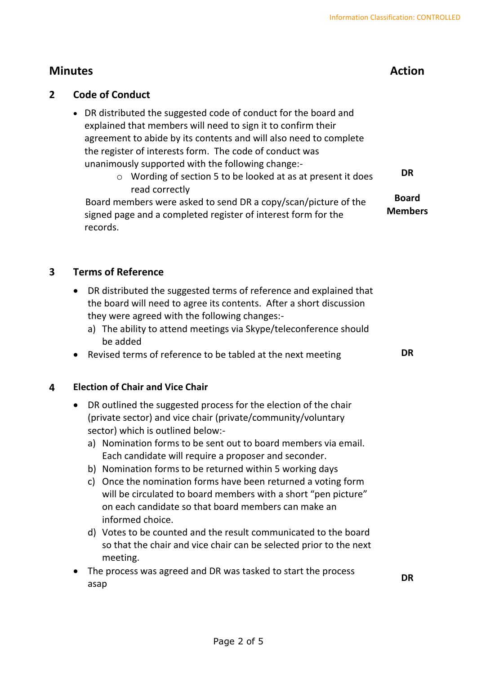#### **2 Code of Conduct**

- DR distributed the suggested code of conduct for the board and explained that members will need to sign it to confirm their agreement to abide by its contents and will also need to complete the register of interests form. The code of conduct was unanimously supported with the following change:
	- o Wording of section 5 to be looked at as at present it does read correctly **DR**

Board members were asked to send DR a copy/scan/picture of the signed page and a completed register of interest form for the records. **Board Members**

#### **3 Terms of Reference**

- DR distributed the suggested terms of reference and explained that the board will need to agree its contents. After a short discussion they were agreed with the following changes:
	- a) The ability to attend meetings via Skype/teleconference should be added
- Revised terms of reference to be tabled at the next meeting **DR**

**DR**

#### **4 Election of Chair and Vice Chair**

- DR outlined the suggested process for the election of the chair (private sector) and vice chair (private/community/voluntary sector) which is outlined below:
	- a) Nomination forms to be sent out to board members via email. Each candidate will require a proposer and seconder.
	- b) Nomination forms to be returned within 5 working days
	- c) Once the nomination forms have been returned a voting form will be circulated to board members with a short "pen picture" on each candidate so that board members can make an informed choice.
	- d) Votes to be counted and the result communicated to the board so that the chair and vice chair can be selected prior to the next meeting.
- The process was agreed and DR was tasked to start the process asap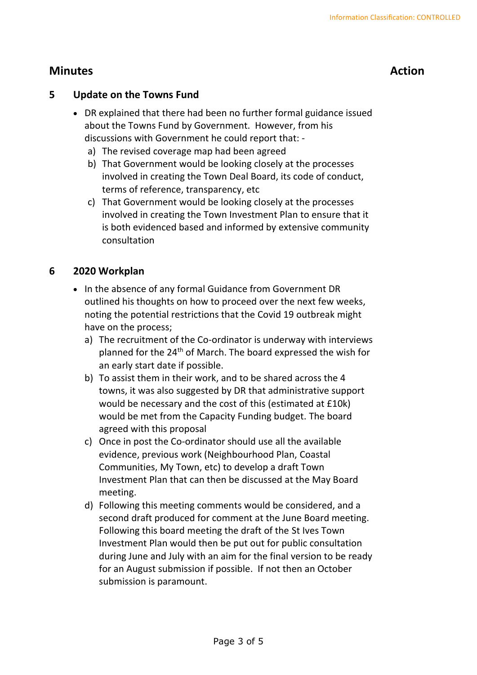#### **5 Update on the Towns Fund**

- DR explained that there had been no further formal guidance issued about the Towns Fund by Government. However, from his discussions with Government he could report that:
	- a) The revised coverage map had been agreed
	- b) That Government would be looking closely at the processes involved in creating the Town Deal Board, its code of conduct, terms of reference, transparency, etc
	- c) That Government would be looking closely at the processes involved in creating the Town Investment Plan to ensure that it is both evidenced based and informed by extensive community consultation

#### **6 2020 Workplan**

- In the absence of any formal Guidance from Government DR outlined his thoughts on how to proceed over the next few weeks, noting the potential restrictions that the Covid 19 outbreak might have on the process;
	- a) The recruitment of the Co-ordinator is underway with interviews planned for the 24th of March. The board expressed the wish for an early start date if possible.
	- b) To assist them in their work, and to be shared across the 4 towns, it was also suggested by DR that administrative support would be necessary and the cost of this (estimated at £10k) would be met from the Capacity Funding budget. The board agreed with this proposal
	- c) Once in post the Co-ordinator should use all the available evidence, previous work (Neighbourhood Plan, Coastal Communities, My Town, etc) to develop a draft Town Investment Plan that can then be discussed at the May Board meeting.
	- d) Following this meeting comments would be considered, and a second draft produced for comment at the June Board meeting. Following this board meeting the draft of the St Ives Town Investment Plan would then be put out for public consultation during June and July with an aim for the final version to be ready for an August submission if possible. If not then an October submission is paramount.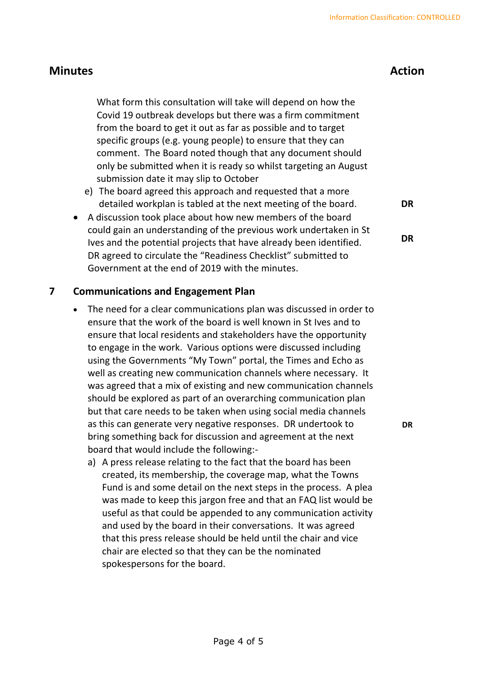What form this consultation will take will depend on how the Covid 19 outbreak develops but there was a firm commitment from the board to get it out as far as possible and to target specific groups (e.g. young people) to ensure that they can comment. The Board noted though that any document should only be submitted when it is ready so whilst targeting an August submission date it may slip to October

- e) The board agreed this approach and requested that a more detailed workplan is tabled at the next meeting of the board.
- A discussion took place about how new members of the board could gain an understanding of the previous work undertaken in St Ives and the potential projects that have already been identified. DR agreed to circulate the "Readiness Checklist" submitted to Government at the end of 2019 with the minutes.

#### **7 Communications and Engagement Plan**

- The need for a clear communications plan was discussed in order to ensure that the work of the board is well known in St Ives and to ensure that local residents and stakeholders have the opportunity to engage in the work. Various options were discussed including using the Governments "My Town" portal, the Times and Echo as well as creating new communication channels where necessary. It was agreed that a mix of existing and new communication channels should be explored as part of an overarching communication plan but that care needs to be taken when using social media channels as this can generate very negative responses. DR undertook to bring something back for discussion and agreement at the next board that would include the following:
	- a) A press release relating to the fact that the board has been created, its membership, the coverage map, what the Towns Fund is and some detail on the next steps in the process. A plea was made to keep this jargon free and that an FAQ list would be useful as that could be appended to any communication activity and used by the board in their conversations. It was agreed that this press release should be held until the chair and vice chair are elected so that they can be the nominated spokespersons for the board.

**DR**

**DR**

**DR**